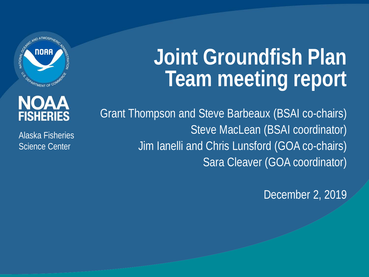

# **Joint Groundfish Plan Team meeting report**

#### **NOAA FISHERIES**

Alaska Fisheries Science Center

Grant Thompson and Steve Barbeaux (BSAI co-chairs) Steve MacLean (BSAI coordinator) Jim Ianelli and Chris Lunsford (GOA co-chairs) Sara Cleaver (GOA coordinator)

December 2, 2019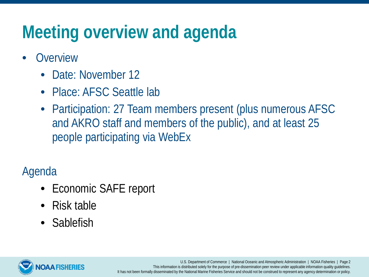# **Meeting overview and agenda**

- **Overview** 
	- Date: November 12
	- Place: AFSC Seattle lab
	- Participation: 27 Team members present (plus numerous AFSC and AKRO staff and members of the public), and at least 25 people participating via WebEx

Agenda

- Economic SAFE report
- Risk table
- Sablefish



U.S. Department of Commerce | National Oceanic and Atmospheric Administration | NOAA Fisheries | Page 2 This information is distributed solely for the purpose of pre-dissemination peer review under applicable information quality guidelines. It has not been formally disseminated by the National Marine Fisheries Service and should not be construed to represent any agency determination or policy.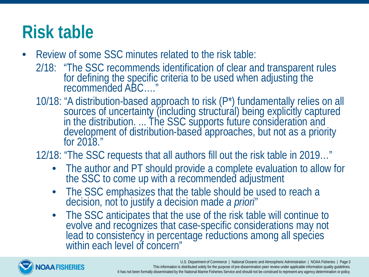# **Risk table**

- Review of some SSC minutes related to the risk table:
	- 2/18: "The SSC recommends identification of clear and transparent rules for defining the specific criteria to be used when adjusting the recommended ABC…."
	- 10/18: "A distribution-based approach to risk (P\*) fundamentally relies on all sources of uncertainty (including structural) being explicitly captured in the distribution. ... The SSC supports future consideration and development of distribution-based approaches, but not as a priority<br>for 2018.″
	- 12/18: "The SSC requests that all authors fill out the risk table in 2019…"
		- The author and PT should provide a complete evaluation to allow for the SSC to come up with a recommended adjustment
		- The SSC emphasizes that the table should be used to reach a decision, not to justify a decision made *a priori*"
		- The SSC anticipates that the use of the risk table will continue to evolve and recognizes that case-specific considerations may not evolve and recognizes that case-specific considerations may not<br>lead to consistency in percentage reductions among all species within each level of concern"

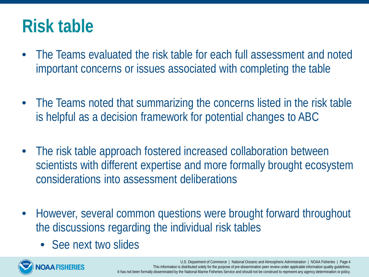### **Risk table**

- The Teams evaluated the risk table for each full assessment and noted important concerns or issues associated with completing the table
- The Teams noted that summarizing the concerns listed in the risk table is helpful as a decision framework for potential changes to ABC
- The risk table approach fostered increased collaboration between scientists with different expertise and more formally brought ecosystem considerations into assessment deliberations
- However, several common questions were brought forward throughout the discussions regarding the individual risk tables
	- See next two slides

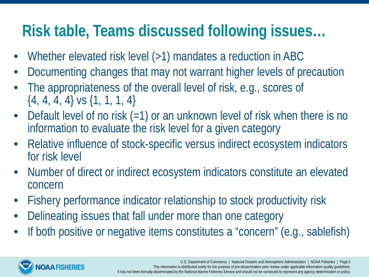#### **Risk table, Teams discussed following issues…**

- Whether elevated risk level (>1) mandates a reduction in ABC
- Documenting changes that may not warrant higher levels of precaution
- The appropriateness of the overall level of risk, e.g., scores of  $\{4, 4, 4, 4\}$  vs  $\{1, 1, 1, 4\}$
- Default level of no risk (=1) or an unknown level of risk when there is no information to evaluate the risk level for a given category
- Relative influence of stock-specific versus indirect ecosystem indicators for risk level
- Number of direct or indirect ecosystem indicators constitute an elevated concern
- Fishery performance indicator relationship to stock productivity risk
- Delineating issues that fall under more than one category
- If both positive or negative items constitutes a "concern" (e.g., sablefish)

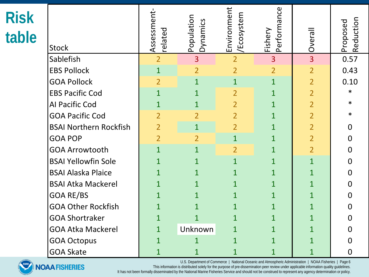| <b>Risk</b><br>table | <b>Stock</b>                  | Assessment<br>related | Population<br>Dynamics | Environment<br>/Ecosystem | Performance<br>Fishery | Overall        | Reduction<br>Proposed |
|----------------------|-------------------------------|-----------------------|------------------------|---------------------------|------------------------|----------------|-----------------------|
|                      | Sablefish                     | $\overline{2}$        | $\overline{3}$         | $\overline{2}$            | 3                      | $\overline{3}$ | 0.57                  |
|                      | <b>EBS Pollock</b>            | $\mathbf{1}$          | $\overline{2}$         | $\overline{2}$            | $\overline{2}$         | $\overline{2}$ | 0.43                  |
|                      | <b>GOA Pollock</b>            | $\overline{2}$        | $\mathbf{1}$           | $\mathbf{1}$              | $\mathbf{1}$           | $\overline{2}$ | 0.10                  |
|                      | <b>EBS Pacific Cod</b>        | $\mathbf{1}$          | $\mathbf{1}$           | $\overline{2}$            | $\mathbf 1$            | $\overline{2}$ | $\ast$                |
|                      | Al Pacific Cod                | $\mathbf{1}$          | $\mathbf{1}$           | $\overline{2}$            | $\mathbf 1$            | $\overline{2}$ | *                     |
|                      | <b>GOA Pacific Cod</b>        | $\overline{2}$        | $\overline{2}$         | $\overline{2}$            | $\mathbf 1$            | $\overline{2}$ | *                     |
|                      | <b>BSAI Northern Rockfish</b> | $\overline{2}$        | $\overline{1}$         | $\overline{2}$            | $\mathbf 1$            | $\overline{2}$ | O                     |
|                      | <b>GOA POP</b>                | $\overline{2}$        | $\overline{2}$         | $\mathbf{1}$              | $\mathbf 1$            | $\overline{2}$ | O                     |
|                      | <b>GOA Arrowtooth</b>         | $\overline{1}$        | $\mathbf{1}$           | $\overline{2}$            | $\overline{1}$         | $\overline{2}$ | O                     |
|                      | <b>BSAI Yellowfin Sole</b>    | $\mathbf 1$           | $\mathbf{1}$           | $\overline{1}$            | $\mathbf 1$            | $\overline{1}$ | U                     |
|                      | <b>BSAI Alaska Plaice</b>     | $\mathbf 1$           | $\mathbf{1}$           | $\mathbf{1}$              | $\mathbf{1}$           | $\mathbf 1$    | O                     |
|                      | <b>BSAI Atka Mackerel</b>     | $\overline{1}$        | $\overline{1}$         | $\mathbf{1}$              | $\overline{1}$         | $\overline{1}$ | 0                     |
|                      | <b>GOA RE/BS</b>              | $\mathbf 1$           | $\mathbf{1}$           | $\mathbf{1}$              | $\mathbf 1$            | $\mathbf 1$    | 0                     |
|                      | <b>GOA Other Rockfish</b>     | $\mathbf 1$           | $\mathbf 1$            | $\overline{1}$            | $\mathbf 1$            | $\overline{1}$ | O                     |
|                      | <b>GOA Shortraker</b>         | $\overline{1}$        | $\mathbf{1}$           | $\mathbf{1}$              | $\mathbf 1$            | $\overline{1}$ | O                     |
|                      | <b>GOA Atka Mackerel</b>      | $\mathbf{1}$          | Unknown                | $\mathbf 1$               | $\mathbf 1$            | $\mathbf 1$    |                       |
|                      | <b>GOA Octopus</b>            |                       | $\mathbf 1$            | 1                         | $\mathbf 1$            | $\overline{1}$ |                       |
|                      | <b>GOA Skate</b>              | $\mathbf 1$           | 1                      | 1                         | 1                      | $\mathbf 1$    | $\Omega$              |



U.S. Department of Commerce | National Oceanic and Atmospheric Administration | NOAA Fisheries | Page 6

This information is distributed solely for the purpose of pre-dissemination peer review under applicable information quality guidelines.

It has not been formally disseminated by the National Marine Fisheries Service and should not be construed to represent any agency determination or policy.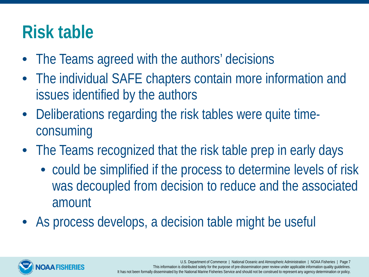### **Risk table**

- The Teams agreed with the authors' decisions
- The individual SAFE chapters contain more information and issues identified by the authors
- Deliberations regarding the risk tables were quite timeconsuming
- The Teams recognized that the risk table prep in early days
	- could be simplified if the process to determine levels of risk was decoupled from decision to reduce and the associated amount
- As process develops, a decision table might be useful

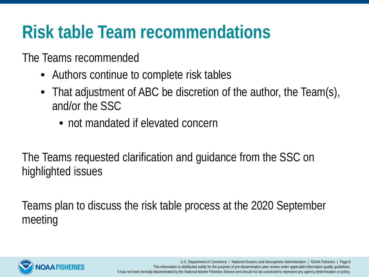# **Risk table Team recommendations**

The Teams recommended

- Authors continue to complete risk tables
- That adjustment of ABC be discretion of the author, the Team(s), and/or the SSC
	- not mandated if elevated concern

The Teams requested clarification and guidance from the SSC on highlighted issues

Teams plan to discuss the risk table process at the 2020 September meeting

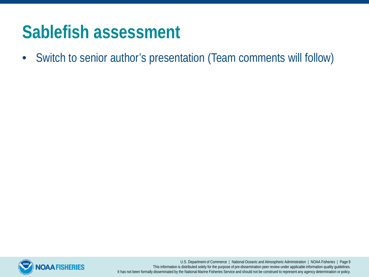#### **Sablefish assessment**

• Switch to senior author's presentation (Team comments will follow)



U.S. Department of Commerce | National Oceanic and Atmospheric Administration | NOAA Fisheries | Page 9 This information is distributed solely for the purpose of pre-dissemination peer review under applicable information quality guidelines. It has not been formally disseminated by the National Marine Fisheries Service and should not be construed to represent any agency determination or policy.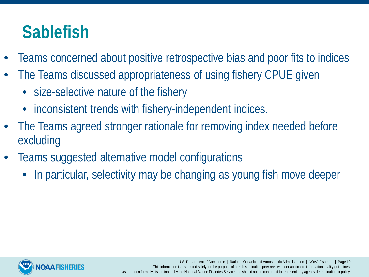- Teams concerned about positive retrospective bias and poor fits to indices
- The Teams discussed appropriateness of using fishery CPUE given
	- size-selective nature of the fishery
	- inconsistent trends with fishery-independent indices.
- The Teams agreed stronger rationale for removing index needed before excluding
- Teams suggested alternative model configurations
	- In particular, selectivity may be changing as young fish move deeper



U.S. Department of Commerce | National Oceanic and Atmospheric Administration | NOAA Fisheries | Page 10 This information is distributed solely for the purpose of pre-dissemination peer review under applicable information quality guidelines. It has not been formally disseminated by the National Marine Fisheries Service and should not be construed to represent any agency determination or policy.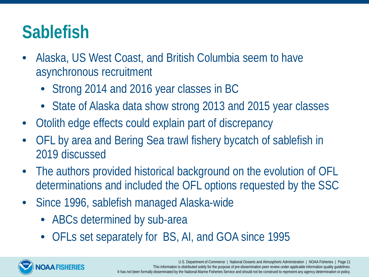- Alaska, US West Coast, and British Columbia seem to have asynchronous recruitment
	- Strong 2014 and 2016 year classes in BC
	- State of Alaska data show strong 2013 and 2015 year classes
- Otolith edge effects could explain part of discrepancy
- OFL by area and Bering Sea trawl fishery bycatch of sablefish in 2019 discussed
- The authors provided historical background on the evolution of OFL determinations and included the OFL options requested by the SSC
- Since 1996, sablefish managed Alaska-wide
	- ABCs determined by sub-area
	- OFLs set separately for BS, AI, and GOA since 1995

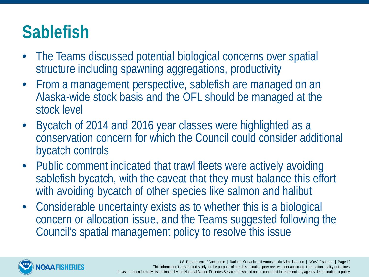- The Teams discussed potential biological concerns over spatial structure including spawning aggregations, productivity
- From a management perspective, sablefish are managed on an Alaska-wide stock basis and the OFL should be managed at the stock level
- Bycatch of 2014 and 2016 year classes were highlighted as a conservation concern for which the Council could consider additional bycatch controls
- Public comment indicated that trawl fleets were actively avoiding sablefish bycatch, with the caveat that they must balance this effort with avoiding bycatch of other species like salmon and halibut
- Considerable uncertainty exists as to whether this is a biological concern or allocation issue, and the Teams suggested following the Council's spatial management policy to resolve this issue

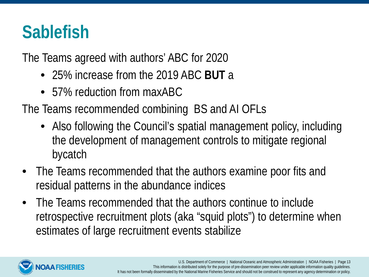The Teams agreed with authors' ABC for 2020

- 25% increase from the 2019 ABC **BUT** a
- 57% reduction from maxABC

The Teams recommended combining BS and AI OFLs

- Also following the Council's spatial management policy, including the development of management controls to mitigate regional bycatch
- The Teams recommended that the authors examine poor fits and residual patterns in the abundance indices
- The Teams recommended that the authors continue to include retrospective recruitment plots (aka "squid plots") to determine when estimates of large recruitment events stabilize

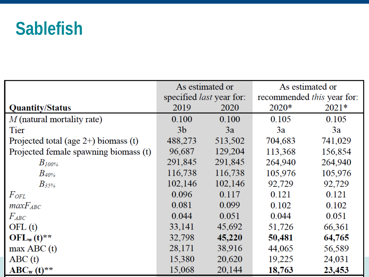|                                         | As estimated or                 |         | As estimated or                   |         |  |
|-----------------------------------------|---------------------------------|---------|-----------------------------------|---------|--|
|                                         | specified <i>last</i> year for: |         | recommended <i>this</i> year for: |         |  |
| <b>Quantity/Status</b>                  | 2019                            | 2020    | 2020*                             | $2021*$ |  |
| $M$ (natural mortality rate)            | 0.100                           | 0.100   | 0.105                             | 0.105   |  |
| Tier                                    | 3 <sub>b</sub>                  | 3a      | 3a                                | 3a      |  |
| Projected total (age $2+$ ) biomass (t) | 488,273                         | 513,502 | 704,683                           | 741,029 |  |
| Projected female spawning biomass (t)   | 96,687                          | 129,204 | 113,368                           | 156,854 |  |
| $B_{100\%}$                             | 291,845                         | 291,845 | 264,940                           | 264,940 |  |
| $B$ 40%                                 | 116,738                         | 116,738 | 105,976                           | 105,976 |  |
| $B_3$ 5%                                | 102,146                         | 102,146 | 92,729                            | 92,729  |  |
| $F_{OFL}$                               | 0.096                           | 0.117   | 0.121                             | 0.121   |  |
| $maxF_{ABC}$                            | 0.081                           | 0.099   | 0.102                             | 0.102   |  |
| $F_{ABC}$                               | 0.044                           | 0.051   | 0.044                             | 0.051   |  |
| OFL(t)                                  | 33,141                          | 45,692  | 51,726                            | 66,361  |  |
| $OFL_w(t)$ **                           | 32,798                          | 45,220  | 50,481                            | 64,765  |  |
| max ABC(t)                              | 28,171                          | 38,916  | 44,065                            | 56,589  |  |
| ABC(t)                                  | 15,380                          | 20,620  | 19,225                            | 24,031  |  |
| $ABC_w(t)$ **                           | 15,068                          | 20,144  | 18,763                            | 23,453  |  |